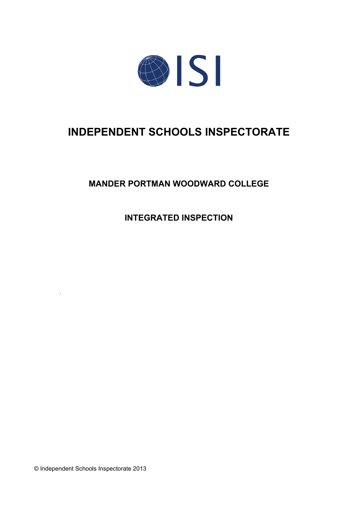

# **INDEPENDENT SCHOOLS INSPECTORATE**

## **MANDER PORTMAN WOODWARD COLLEGE**

**INTEGRATED INSPECTION**

© Independent Schools Inspectorate 2013

*.*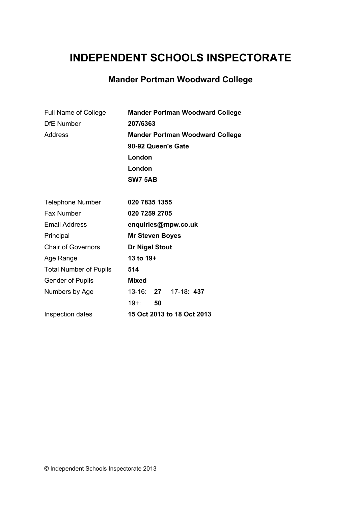# **INDEPENDENT SCHOOLS INSPECTORATE**

## **Mander Portman Woodward College**

| Full Name of College          | <b>Mander Portman Woodward College</b> |
|-------------------------------|----------------------------------------|
| <b>DfE</b> Number             | 207/6363                               |
| <b>Address</b>                | <b>Mander Portman Woodward College</b> |
|                               | 90-92 Queen's Gate                     |
|                               | London                                 |
|                               | London                                 |
|                               | <b>SW7 5AB</b>                         |
|                               |                                        |
| <b>Telephone Number</b>       | 020 7835 1355                          |
| <b>Fax Number</b>             | 020 7259 2705                          |
| <b>Email Address</b>          | enquiries@mpw.co.uk                    |
| Principal                     | <b>Mr Steven Boyes</b>                 |
| <b>Chair of Governors</b>     | <b>Dr Nigel Stout</b>                  |
| Age Range                     | 13 to 19+                              |
| <b>Total Number of Pupils</b> | 514                                    |
| <b>Gender of Pupils</b>       | <b>Mixed</b>                           |
| Numbers by Age                | 13-16: 27 17-18: 437                   |
|                               | $19 + 1$<br>50                         |

Inspection dates **15 Oct 2013 to 18 Oct 2013**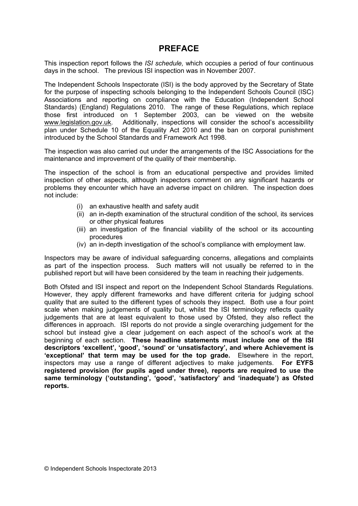## **PREFACE**

This inspection report follows the *ISI schedule,* which occupies a period of four continuous days in the school. The previous ISI inspection was in November 2007.

The Independent Schools Inspectorate (ISI) is the body approved by the Secretary of State for the purpose of inspecting schools belonging to the Independent Schools Council (ISC) Associations and reporting on compliance with the Education (Independent School Standards) (England) Regulations 2010. The range of these Regulations, which replace those first introduced on 1 September 2003, can be viewed on the website [www.legislation.gov.uk.](http://www.legislation.gov.uk) Additionally, inspections will consider the school's accessibility plan under Schedule 10 of the Equality Act 2010 and the ban on corporal punishment introduced by the School Standards and Framework Act 1998.

The inspection was also carried out under the arrangements of the ISC Associations for the maintenance and improvement of the quality of their membership.

The inspection of the school is from an educational perspective and provides limited inspection of other aspects, although inspectors comment on any significant hazards or problems they encounter which have an adverse impact on children. The inspection does not include:

- (i) an exhaustive health and safety audit
- (ii) an in-depth examination of the structural condition of the school, its services or other physical features
- (iii) an investigation of the financial viability of the school or its accounting procedures
- (iv) an in-depth investigation of the school's compliance with employment law.

Inspectors may be aware of individual safeguarding concerns, allegations and complaints as part of the inspection process. Such matters will not usually be referred to in the published report but will have been considered by the team in reaching their judgements.

Both Ofsted and ISI inspect and report on the Independent School Standards Regulations. However, they apply different frameworks and have different criteria for judging school quality that are suited to the different types of schools they inspect. Both use a four point scale when making judgements of quality but, whilst the ISI terminology reflects quality judgements that are at least equivalent to those used by Ofsted, they also reflect the differences in approach. ISI reports do not provide a single overarching judgement for the school but instead give a clear judgement on each aspect of the school's work at the beginning of each section. **These headline statements must include one of the ISI descriptors 'excellent', 'good', 'sound' or 'unsatisfactory', and where Achievement is 'exceptional' that term may be used for the top grade.** Elsewhere in the report, inspectors may use a range of different adjectives to make judgements. **For EYFS registered provision (for pupils aged under three), reports are required to use the same terminology ('outstanding', 'good', 'satisfactory' and 'inadequate') as Ofsted reports.**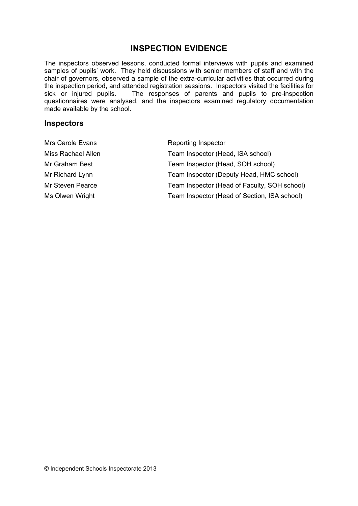## **INSPECTION EVIDENCE**

The inspectors observed lessons, conducted formal interviews with pupils and examined samples of pupils' work. They held discussions with senior members of staff and with the chair of governors, observed a sample of the extra-curricular activities that occurred during the inspection period, and attended registration sessions. Inspectors visited the facilities for sick or injured pupils. The responses of parents and pupils to pre-inspection questionnaires were analysed, and the inspectors examined regulatory documentation made available by the school.

#### **Inspectors**

| Mrs Carole Evans   | Reporting Inspector                          |
|--------------------|----------------------------------------------|
| Miss Rachael Allen | Team Inspector (Head, ISA school)            |
| Mr Graham Best     | Team Inspector (Head, SOH school)            |
| Mr Richard Lynn    | Team Inspector (Deputy Head, HMC school)     |
| Mr Steven Pearce   | Team Inspector (Head of Faculty, SOH school) |
| Ms Olwen Wright    | Team Inspector (Head of Section, ISA school) |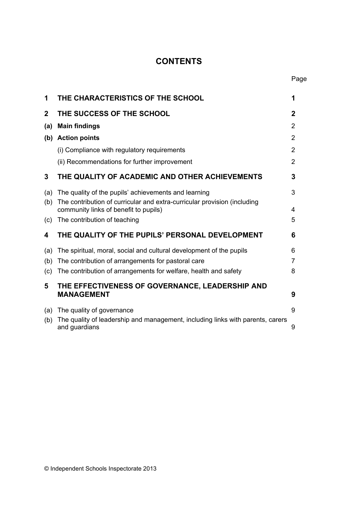## **CONTENTS**

| 1            | THE CHARACTERISTICS OF THE SCHOOL                                                                                 | 1                |
|--------------|-------------------------------------------------------------------------------------------------------------------|------------------|
| $\mathbf{2}$ | THE SUCCESS OF THE SCHOOL                                                                                         | $\boldsymbol{2}$ |
| (a)          | <b>Main findings</b>                                                                                              | $\overline{2}$   |
| (b)          | <b>Action points</b>                                                                                              | $\overline{2}$   |
|              | (i) Compliance with regulatory requirements                                                                       | $\overline{2}$   |
|              | (ii) Recommendations for further improvement                                                                      | $\overline{2}$   |
| 3            | THE QUALITY OF ACADEMIC AND OTHER ACHIEVEMENTS                                                                    | 3                |
| (a)          | The quality of the pupils' achievements and learning                                                              | 3                |
| (b)          | The contribution of curricular and extra-curricular provision (including<br>community links of benefit to pupils) | 4                |
| (c)          | The contribution of teaching                                                                                      | 5                |
| 4            | THE QUALITY OF THE PUPILS' PERSONAL DEVELOPMENT                                                                   | 6                |
| (a)          | The spiritual, moral, social and cultural development of the pupils                                               | 6                |
| (b)          | The contribution of arrangements for pastoral care                                                                | $\overline{7}$   |
| (c)          | The contribution of arrangements for welfare, health and safety                                                   | 8                |
| 5            | THE EFFECTIVENESS OF GOVERNANCE, LEADERSHIP AND<br><b>MANAGEMENT</b>                                              | 9                |
|              |                                                                                                                   |                  |
| (a)          | The quality of governance                                                                                         | 9                |
| (b)          | The quality of leadership and management, including links with parents, carers<br>and guardians                   | 9                |

© Independent Schools Inspectorate 2013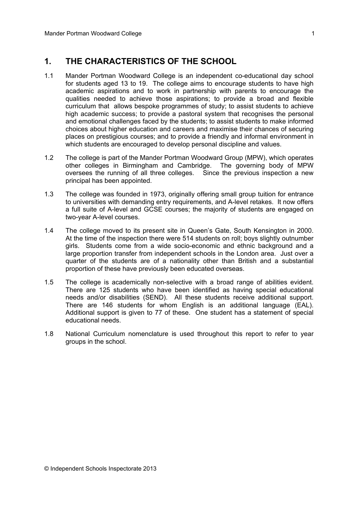## **1. THE CHARACTERISTICS OF THE SCHOOL**

- 1.1 Mander Portman Woodward College is an independent co-educational day school for students aged 13 to 19. The college aims to encourage students to have high academic aspirations and to work in partnership with parents to encourage the qualities needed to achieve those aspirations; to provide a broad and flexible curriculum that allows bespoke programmes of study; to assist students to achieve high academic success; to provide a pastoral system that recognises the personal and emotional challenges faced by the students; to assist students to make informed choices about higher education and careers and maximise their chances of securing places on prestigious courses; and to provide a friendly and informal environment in which students are encouraged to develop personal discipline and values.
- 1.2 The college is part of the Mander Portman Woodward Group (MPW), which operates other colleges in Birmingham and Cambridge. The governing body of MPW oversees the running of all three colleges. Since the previous inspection a new principal has been appointed.
- 1.3 The college was founded in 1973, originally offering small group tuition for entrance to universities with demanding entry requirements, and A-level retakes. It now offers a full suite of A-level and GCSE courses; the majority of students are engaged on two-year A-level courses.
- 1.4 The college moved to its present site in Queen's Gate, South Kensington in 2000. At the time of the inspection there were 514 students on roll; boys slightly outnumber girls. Students come from a wide socio-economic and ethnic background and a large proportion transfer from independent schools in the London area. Just over a quarter of the students are of a nationality other than British and a substantial proportion of these have previously been educated overseas.
- 1.5 The college is academically non-selective with a broad range of abilities evident. There are 125 students who have been identified as having special educational needs and/or disabilities (SEND). All these students receive additional support. There are 146 students for whom English is an additional language (EAL). Additional support is given to 77 of these. One student has a statement of special educational needs.
- 1.8 National Curriculum nomenclature is used throughout this report to refer to year groups in the school.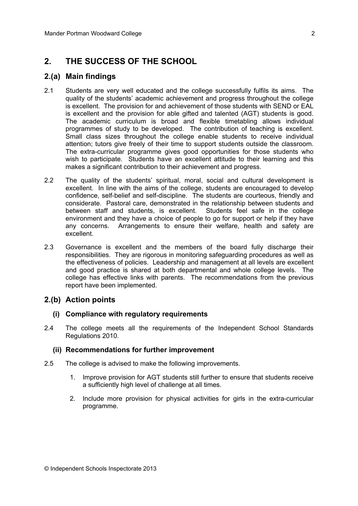## **2. THE SUCCESS OF THE SCHOOL**

### **2.(a) Main findings**

- 2.1 Students are very well educated and the college successfully fulfils its aims. The quality of the students' academic achievement and progress throughout the college is excellent. The provision for and achievement of those students with SEND or EAL is excellent and the provision for able gifted and talented (AGT) students is good. The academic curriculum is broad and flexible timetabling allows individual programmes of study to be developed. The contribution of teaching is excellent. Small class sizes throughout the college enable students to receive individual attention; tutors give freely of their time to support students outside the classroom. The extra-curricular programme gives good opportunities for those students who wish to participate. Students have an excellent attitude to their learning and this makes a significant contribution to their achievement and progress.
- 2.2 The quality of the students' spiritual, moral, social and cultural development is excellent. In line with the aims of the college, students are encouraged to develop confidence, self-belief and self-discipline. The students are courteous, friendly and considerate. Pastoral care, demonstrated in the relationship between students and between staff and students, is excellent. Students feel safe in the college environment and they have a choice of people to go for support or help if they have any concerns. Arrangements to ensure their welfare, health and safety are excellent.
- 2.3 Governance is excellent and the members of the board fully discharge their responsibilities. They are rigorous in monitoring safeguarding procedures as well as the effectiveness of policies. Leadership and management at all levels are excellent and good practice is shared at both departmental and whole college levels. The college has effective links with parents. The recommendations from the previous report have been implemented.

## **2.(b) Action points**

#### **(i) Compliance with regulatory requirements**

2.4 The college meets all the requirements of the Independent School Standards Regulations 2010.

#### **(ii) Recommendations for further improvement**

- 2.5 The college is advised to make the following improvements.
	- 1. Improve provision for AGT students still further to ensure that students receive a sufficiently high level of challenge at all times.
	- 2. Include more provision for physical activities for girls in the extra-curricular programme.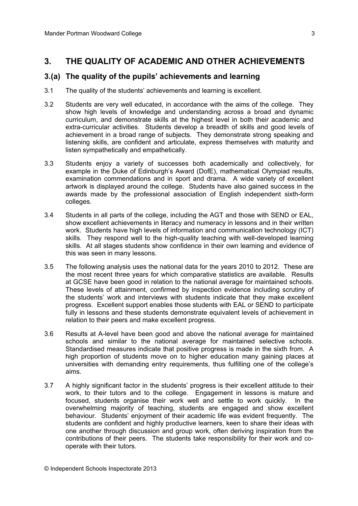## **3. THE QUALITY OF ACADEMIC AND OTHER ACHIEVEMENTS**

#### **3.(a) The quality of the pupils' achievements and learning**

- 3.1 The quality of the students' achievements and learning is excellent.
- 3.2 Students are very well educated, in accordance with the aims of the college. They show high levels of knowledge and understanding across a broad and dynamic curriculum, and demonstrate skills at the highest level in both their academic and extra-curricular activities. Students develop a breadth of skills and good levels of achievement in a broad range of subjects. They demonstrate strong speaking and listening skills, are confident and articulate, express themselves with maturity and listen sympathetically and empathetically.
- 3.3 Students enjoy a variety of successes both academically and collectively, for example in the Duke of Edinburgh's Award (DofE), mathematical Olympiad results, examination commendations and in sport and drama. A wide variety of excellent artwork is displayed around the college. Students have also gained success in the awards made by the professional association of English independent sixth-form colleges.
- 3.4 Students in all parts of the college, including the AGT and those with SEND or EAL, show excellent achievements in literacy and numeracy in lessons and in their written work. Students have high levels of information and communication technology (ICT) skills. They respond well to the high-quality teaching with well-developed learning skills. At all stages students show confidence in their own learning and evidence of this was seen in many lessons.
- 3.5 The following analysis uses the national data for the years 2010 to 2012. These are the most recent three years for which comparative statistics are available. Results at GCSE have been good in relation to the national average for maintained schools. These levels of attainment, confirmed by inspection evidence including scrutiny of the students' work and interviews with students indicate that they make excellent progress. Excellent support enables those students with EAL or SEND to participate fully in lessons and these students demonstrate equivalent levels of achievement in relation to their peers and make excellent progress.
- 3.6 Results at A-level have been good and above the national average for maintained schools and similar to the national average for maintained selective schools. Standardised measures indicate that positive progress is made in the sixth from. A high proportion of students move on to higher education many gaining places at universities with demanding entry requirements, thus fulfilling one of the college's aims.
- 3.7 A highly significant factor in the students' progress is their excellent attitude to their work, to their tutors and to the college. Engagement in lessons is mature and focused, students organise their work well and settle to work quickly. In the overwhelming majority of teaching, students are engaged and show excellent behaviour. Students' enjoyment of their academic life was evident frequently. The students are confident and highly productive learners, keen to share their ideas with one another through discussion and group work, often deriving inspiration from the contributions of their peers. The students take responsibility for their work and cooperate with their tutors.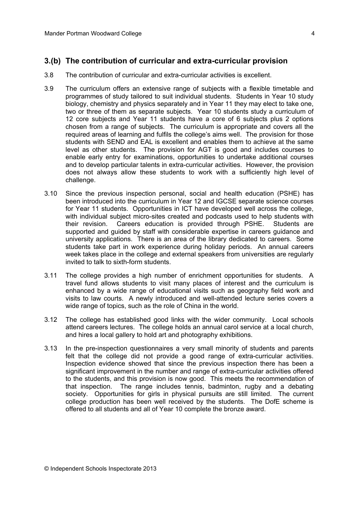## **3.(b) The contribution of curricular and extra-curricular provision**

- 3.8 The contribution of curricular and extra-curricular activities is excellent.
- 3.9 The curriculum offers an extensive range of subjects with a flexible timetable and programmes of study tailored to suit individual students. Students in Year 10 study biology, chemistry and physics separately and in Year 11 they may elect to take one, two or three of them as separate subjects. Year 10 students study a curriculum of 12 core subjects and Year 11 students have a core of 6 subjects plus 2 options chosen from a range of subjects. The curriculum is appropriate and covers all the required areas of learning and fulfils the college's aims well. The provision for those students with SEND and EAL is excellent and enables them to achieve at the same level as other students. The provision for AGT is good and includes courses to enable early entry for examinations, opportunities to undertake additional courses and to develop particular talents in extra-curricular activities. However, the provision does not always allow these students to work with a sufficiently high level of challenge.
- 3.10 Since the previous inspection personal, social and health education (PSHE) has been introduced into the curriculum in Year 12 and IGCSE separate science courses for Year 11 students. Opportunities in ICT have developed well across the college, with individual subject micro-sites created and podcasts used to help students with their revision. Careers education is provided through PSHE. Students are supported and guided by staff with considerable expertise in careers guidance and university applications. There is an area of the library dedicated to careers. Some students take part in work experience during holiday periods. An annual careers week takes place in the college and external speakers from universities are regularly invited to talk to sixth-form students.
- 3.11 The college provides a high number of enrichment opportunities for students. A travel fund allows students to visit many places of interest and the curriculum is enhanced by a wide range of educational visits such as geography field work and visits to law courts. A newly introduced and well-attended lecture series covers a wide range of topics, such as the role of China in the world.
- 3.12 The college has established good links with the wider community. Local schools attend careers lectures. The college holds an annual carol service at a local church, and hires a local gallery to hold art and photography exhibitions.
- 3.13 In the pre-inspection questionnaires a very small minority of students and parents felt that the college did not provide a good range of extra-curricular activities. Inspection evidence showed that since the previous inspection there has been a significant improvement in the number and range of extra-curricular activities offered to the students, and this provision is now good. This meets the recommendation of that inspection. The range includes tennis, badminton, rugby and a debating society. Opportunities for girls in physical pursuits are still limited. The current college production has been well received by the students. The DofE scheme is offered to all students and all of Year 10 complete the bronze award.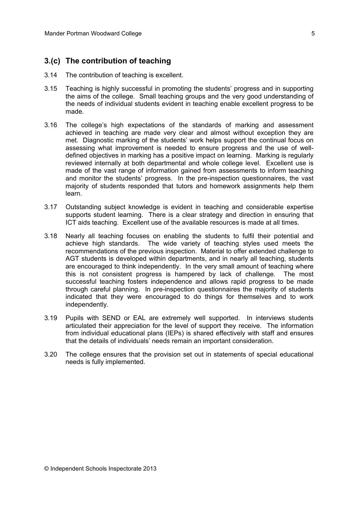## **3.(c) The contribution of teaching**

- 3.14 The contribution of teaching is excellent.
- 3.15 Teaching is highly successful in promoting the students' progress and in supporting the aims of the college. Small teaching groups and the very good understanding of the needs of individual students evident in teaching enable excellent progress to be made.
- 3.16 The college's high expectations of the standards of marking and assessment achieved in teaching are made very clear and almost without exception they are met. Diagnostic marking of the students' work helps support the continual focus on assessing what improvement is needed to ensure progress and the use of welldefined objectives in marking has a positive impact on learning. Marking is regularly reviewed internally at both departmental and whole college level. Excellent use is made of the vast range of information gained from assessments to inform teaching and monitor the students' progress. In the pre-inspection questionnaires, the vast majority of students responded that tutors and homework assignments help them learn.
- 3.17 Outstanding subject knowledge is evident in teaching and considerable expertise supports student learning. There is a clear strategy and direction in ensuring that ICT aids teaching. Excellent use of the available resources is made at all times.
- 3.18 Nearly all teaching focuses on enabling the students to fulfil their potential and achieve high standards. The wide variety of teaching styles used meets the recommendations of the previous inspection. Material to offer extended challenge to AGT students is developed within departments, and in nearly all teaching, students are encouraged to think independently. In the very small amount of teaching where this is not consistent progress is hampered by lack of challenge. The most successful teaching fosters independence and allows rapid progress to be made through careful planning. In pre-inspection questionnaires the majority of students indicated that they were encouraged to do things for themselves and to work independently.
- 3.19 Pupils with SEND or EAL are extremely well supported. In interviews students articulated their appreciation for the level of support they receive. The information from individual educational plans (IEPs) is shared effectively with staff and ensures that the details of individuals' needs remain an important consideration.
- 3.20 The college ensures that the provision set out in statements of special educational needs is fully implemented.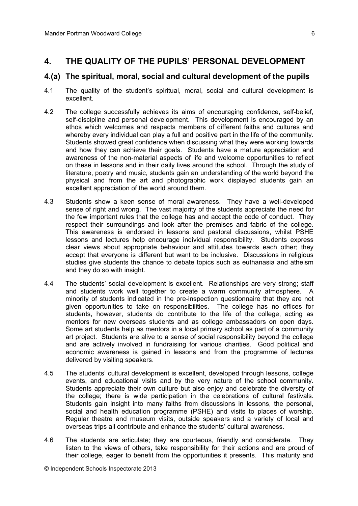### **4. THE QUALITY OF THE PUPILS' PERSONAL DEVELOPMENT**

#### **4.(a) The spiritual, moral, social and cultural development of the pupils**

- 4.1 The quality of the student's spiritual, moral, social and cultural development is excellent.
- 4.2 The college successfully achieves its aims of encouraging confidence, self-belief, self-discipline and personal development. This development is encouraged by an ethos which welcomes and respects members of different faiths and cultures and whereby every individual can play a full and positive part in the life of the community. Students showed great confidence when discussing what they were working towards and how they can achieve their goals. Students have a mature appreciation and awareness of the non-material aspects of life and welcome opportunities to reflect on these in lessons and in their daily lives around the school. Through the study of literature, poetry and music, students gain an understanding of the world beyond the physical and from the art and photographic work displayed students gain an excellent appreciation of the world around them.
- 4.3 Students show a keen sense of moral awareness. They have a well-developed sense of right and wrong. The vast majority of the students appreciate the need for the few important rules that the college has and accept the code of conduct. They respect their surroundings and look after the premises and fabric of the college. This awareness is endorsed in lessons and pastoral discussions, whilst PSHE lessons and lectures help encourage individual responsibility. Students express clear views about appropriate behaviour and attitudes towards each other; they accept that everyone is different but want to be inclusive. Discussions in religious studies give students the chance to debate topics such as euthanasia and atheism and they do so with insight.
- 4.4 The students' social development is excellent. Relationships are very strong; staff and students work well together to create a warm community atmosphere. A minority of students indicated in the pre-inspection questionnaire that they are not given opportunities to take on responsibilities. The college has no offices for students, however, students do contribute to the life of the college, acting as mentors for new overseas students and as college ambassadors on open days. Some art students help as mentors in a local primary school as part of a community art project. Students are alive to a sense of social responsibility beyond the college and are actively involved in fundraising for various charities. Good political and economic awareness is gained in lessons and from the programme of lectures delivered by visiting speakers.
- 4.5 The students' cultural development is excellent, developed through lessons, college events, and educational visits and by the very nature of the school community. Students appreciate their own culture but also enjoy and celebrate the diversity of the college; there is wide participation in the celebrations of cultural festivals. Students gain insight into many faiths from discussions in lessons, the personal, social and health education programme (PSHE) and visits to places of worship. Regular theatre and museum visits, outside speakers and a variety of local and overseas trips all contribute and enhance the students' cultural awareness.
- 4.6 The students are articulate; they are courteous, friendly and considerate. They listen to the views of others, take responsibility for their actions and are proud of their college, eager to benefit from the opportunities it presents. This maturity and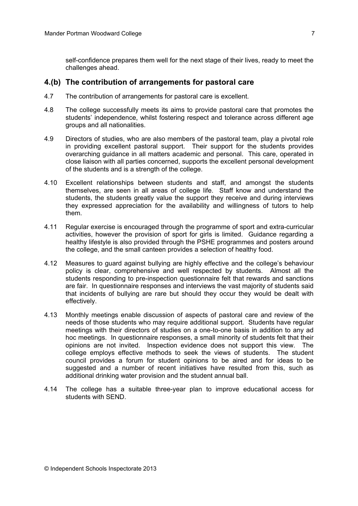self-confidence prepares them well for the next stage of their lives, ready to meet the challenges ahead.

#### **4.(b) The contribution of arrangements for pastoral care**

- 4.7 The contribution of arrangements for pastoral care is excellent.
- 4.8 The college successfully meets its aims to provide pastoral care that promotes the students' independence, whilst fostering respect and tolerance across different age groups and all nationalities.
- 4.9 Directors of studies, who are also members of the pastoral team, play a pivotal role in providing excellent pastoral support. Their support for the students provides overarching guidance in all matters academic and personal. This care, operated in close liaison with all parties concerned, supports the excellent personal development of the students and is a strength of the college.
- 4.10 Excellent relationships between students and staff, and amongst the students themselves, are seen in all areas of college life. Staff know and understand the students, the students greatly value the support they receive and during interviews they expressed appreciation for the availability and willingness of tutors to help them.
- 4.11 Regular exercise is encouraged through the programme of sport and extra-curricular activities, however the provision of sport for girls is limited. Guidance regarding a healthy lifestyle is also provided through the PSHE programmes and posters around the college, and the small canteen provides a selection of healthy food.
- 4.12 Measures to guard against bullying are highly effective and the college's behaviour policy is clear, comprehensive and well respected by students. Almost all the students responding to pre-inspection questionnaire felt that rewards and sanctions are fair. In questionnaire responses and interviews the vast majority of students said that incidents of bullying are rare but should they occur they would be dealt with effectively.
- 4.13 Monthly meetings enable discussion of aspects of pastoral care and review of the needs of those students who may require additional support. Students have regular meetings with their directors of studies on a one-to-one basis in addition to any ad hoc meetings. In questionnaire responses, a small minority of students felt that their opinions are not invited. Inspection evidence does not support this view. The college employs effective methods to seek the views of students. The student council provides a forum for student opinions to be aired and for ideas to be suggested and a number of recent initiatives have resulted from this, such as additional drinking water provision and the student annual ball.
- 4.14 The college has a suitable three-year plan to improve educational access for students with SEND.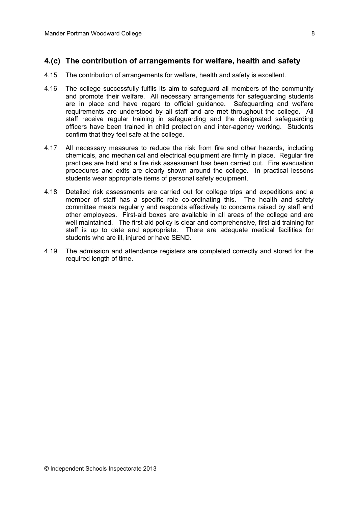### **4.(c) The contribution of arrangements for welfare, health and safety**

- 4.15 The contribution of arrangements for welfare, health and safety is excellent.
- 4.16 The college successfully fulfils its aim to safeguard all members of the community and promote their welfare. All necessary arrangements for safeguarding students are in place and have regard to official guidance. Safeguarding and welfare requirements are understood by all staff and are met throughout the college. All staff receive regular training in safeguarding and the designated safeguarding officers have been trained in child protection and inter-agency working. Students confirm that they feel safe at the college.
- 4.17 All necessary measures to reduce the risk from fire and other hazards, including chemicals, and mechanical and electrical equipment are firmly in place. Regular fire practices are held and a fire risk assessment has been carried out. Fire evacuation procedures and exits are clearly shown around the college. In practical lessons students wear appropriate items of personal safety equipment.
- 4.18 Detailed risk assessments are carried out for college trips and expeditions and a member of staff has a specific role co-ordinating this. The health and safety committee meets regularly and responds effectively to concerns raised by staff and other employees. First-aid boxes are available in all areas of the college and are well maintained. The first-aid policy is clear and comprehensive, first-aid training for staff is up to date and appropriate. There are adequate medical facilities for students who are ill, injured or have SEND.
- 4.19 The admission and attendance registers are completed correctly and stored for the required length of time.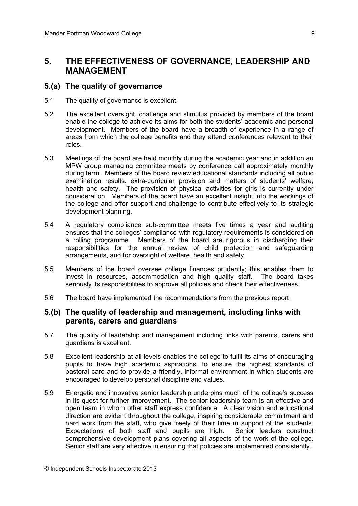## **5. THE EFFECTIVENESS OF GOVERNANCE, LEADERSHIP AND MANAGEMENT**

#### **5.(a) The quality of governance**

- 5.1 The quality of governance is excellent.
- 5.2 The excellent oversight, challenge and stimulus provided by members of the board enable the college to achieve its aims for both the students' academic and personal development. Members of the board have a breadth of experience in a range of areas from which the college benefits and they attend conferences relevant to their roles.
- 5.3 Meetings of the board are held monthly during the academic year and in addition an MPW group managing committee meets by conference call approximately monthly during term. Members of the board review educational standards including all public examination results, extra-curricular provision and matters of students' welfare, health and safety. The provision of physical activities for girls is currently under consideration. Members of the board have an excellent insight into the workings of the college and offer support and challenge to contribute effectively to its strategic development planning.
- 5.4 A regulatory compliance sub-committee meets five times a year and auditing ensures that the colleges' compliance with regulatory requirements is considered on a rolling programme. Members of the board are rigorous in discharging their responsibilities for the annual review of child protection and safeguarding arrangements, and for oversight of welfare, health and safety.
- 5.5 Members of the board oversee college finances prudently; this enables them to invest in resources, accommodation and high quality staff. The board takes seriously its responsibilities to approve all policies and check their effectiveness.
- 5.6 The board have implemented the recommendations from the previous report.

#### **5.(b) The quality of leadership and management, including links with parents, carers and guardians**

- 5.7 The quality of leadership and management including links with parents, carers and guardians is excellent.
- 5.8 Excellent leadership at all levels enables the college to fulfil its aims of encouraging pupils to have high academic aspirations, to ensure the highest standards of pastoral care and to provide a friendly, informal environment in which students are encouraged to develop personal discipline and values.
- 5.9 Energetic and innovative senior leadership underpins much of the college's success in its quest for further improvement. The senior leadership team is an effective and open team in whom other staff express confidence. A clear vision and educational direction are evident throughout the college, inspiring considerable commitment and hard work from the staff, who give freely of their time in support of the students. Expectations of both staff and pupils are high. Senior leaders construct comprehensive development plans covering all aspects of the work of the college. Senior staff are very effective in ensuring that policies are implemented consistently.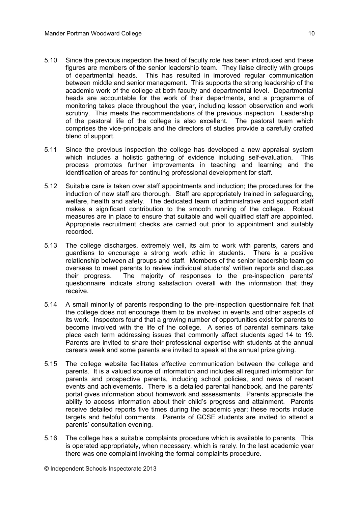- 5.10 Since the previous inspection the head of faculty role has been introduced and these figures are members of the senior leadership team. They liaise directly with groups of departmental heads. This has resulted in improved regular communication between middle and senior management. This supports the strong leadership of the academic work of the college at both faculty and departmental level. Departmental heads are accountable for the work of their departments, and a programme of monitoring takes place throughout the year, including lesson observation and work scrutiny. This meets the recommendations of the previous inspection. Leadership of the pastoral life of the college is also excellent. The pastoral team which comprises the vice-principals and the directors of studies provide a carefully crafted blend of support.
- 5.11 Since the previous inspection the college has developed a new appraisal system which includes a holistic gathering of evidence including self-evaluation. This process promotes further improvements in teaching and learning and the identification of areas for continuing professional development for staff.
- 5.12 Suitable care is taken over staff appointments and induction; the procedures for the induction of new staff are thorough. Staff are appropriately trained in safeguarding, welfare, health and safety. The dedicated team of administrative and support staff makes a significant contribution to the smooth running of the college. Robust measures are in place to ensure that suitable and well qualified staff are appointed. Appropriate recruitment checks are carried out prior to appointment and suitably recorded.
- 5.13 The college discharges, extremely well, its aim to work with parents, carers and guardians to encourage a strong work ethic in students. There is a positive relationship between all groups and staff. Members of the senior leadership team go overseas to meet parents to review individual students' written reports and discuss their progress. The majority of responses to the pre-inspection parents' questionnaire indicate strong satisfaction overall with the information that they receive.
- 5.14 A small minority of parents responding to the pre-inspection questionnaire felt that the college does not encourage them to be involved in events and other aspects of its work. Inspectors found that a growing number of opportunities exist for parents to become involved with the life of the college. A series of parental seminars take place each term addressing issues that commonly affect students aged 14 to 19. Parents are invited to share their professional expertise with students at the annual careers week and some parents are invited to speak at the annual prize giving.
- 5.15 The college website facilitates effective communication between the college and parents. It is a valued source of information and includes all required information for parents and prospective parents, including school policies, and news of recent events and achievements. There is a detailed parental handbook, and the parents' portal gives information about homework and assessments. Parents appreciate the ability to access information about their child's progress and attainment. Parents receive detailed reports five times during the academic year; these reports include targets and helpful comments. Parents of GCSE students are invited to attend a parents' consultation evening.
- 5.16 The college has a suitable complaints procedure which is available to parents. This is operated appropriately, when necessary, which is rarely. In the last academic year there was one complaint invoking the formal complaints procedure.